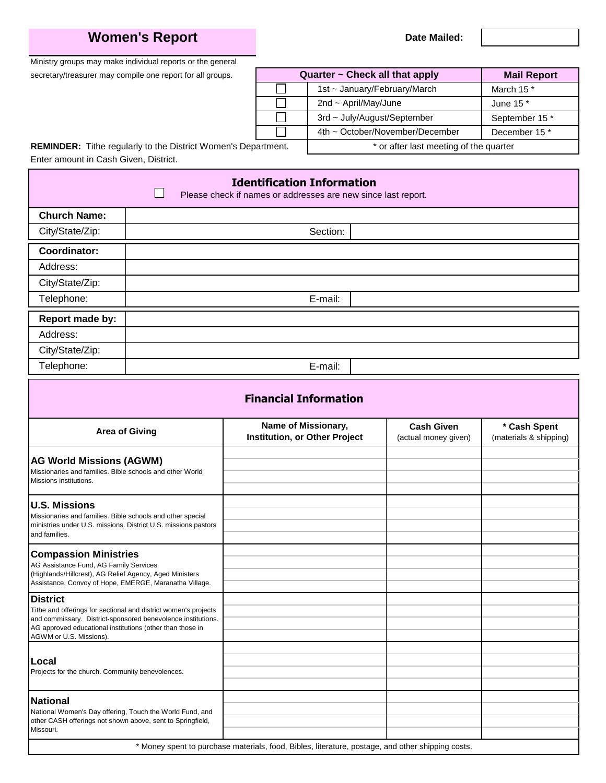## **Women's Report**

**Date Mailed:**

Ministry groups may make individual reports or the general

secretary/treasurer may compile one report for all groups.

|        | Quarter ~ Check all that apply         | <b>Mail Report</b>    |  |
|--------|----------------------------------------|-----------------------|--|
|        | 1st ~ January/February/March           | March 15 <sup>*</sup> |  |
|        | 2nd $\sim$ April/May/June              | June 15 *             |  |
|        | 3rd ~ July/August/September            | September 15 *        |  |
|        | 4th ~ October/November/December        | December 15 *         |  |
| lment. | * or after last meeting of the quarter |                       |  |

**REMINDER:** Tithe regularly to the District Women's Depart Enter amount in Cash Given, District.

## **Identification Information I** Please check if names or addresses are new since last report. **Church Name:** City/State/Zip: Section: **Coordinator:** Address: City/State/Zip: Telephone: E-mail: **Report made by:** Address: City/State/Zip: Telephone: E-mail: **Financial Information** Area of Giving **Area of Giving the State of Missionary, Cash Given** the Missionary, the Cash Civen of Missionary, the Cash Civen of Given the Cash Spent of Missionary, the Cash Civen of Given of Given the Cash Civen of G **Cash Given \* Cash Spent** (actual money given) **AG World Missions (AGWM)** Missionaries and families. Bible schools and other World Missions institutions. **U.S. Missions** Missionaries and families. Bible schools and other special ministries under U.S. missions. District U.S. missions pastors and families. **Compassion Ministries** AG Assistance Fund, AG Family Services (Highlands/Hillcrest), AG Relief Agency, Aged Ministers Assistance, Convoy of Hope, EMERGE, Maranatha Village. **District** Tithe and offerings for sectional and district women's projects and commissary. District-sponsored benevolence institutions. AG approved educational institutions (other than those in AGWM or U.S. Missions). **Local** Projects for the church. Community benevolences. **National** National Women's Day offering, Touch the World Fund, and other CASH offerings not shown above, sent to Springfield, Missouri. \* Money spent to purchase materials, food, Bibles, literature, postage, and other shipping costs.